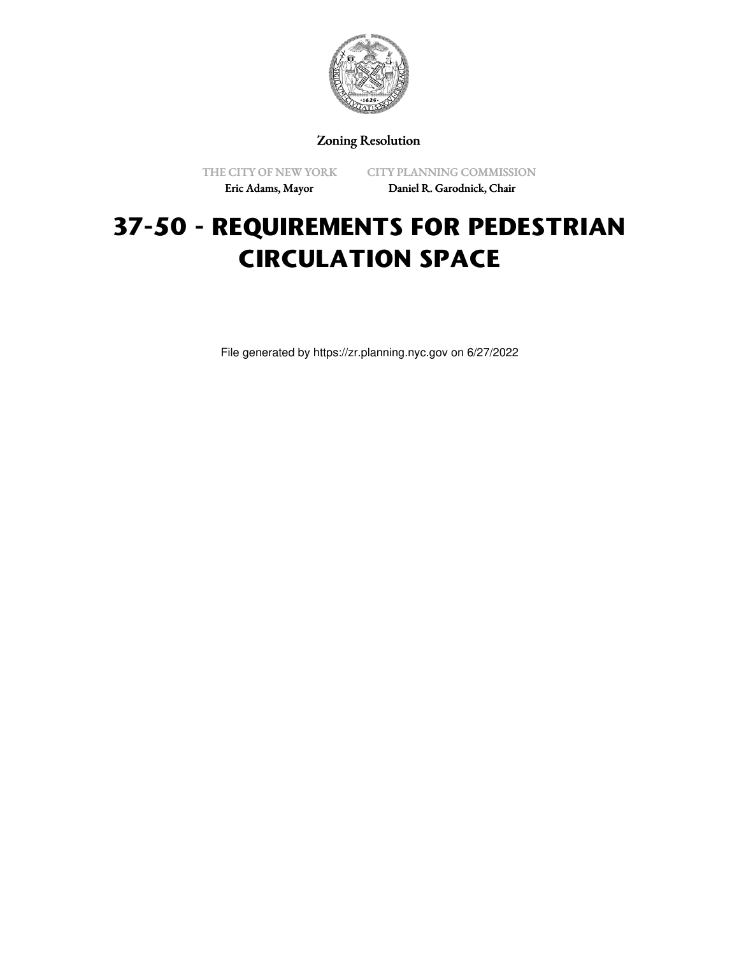

Zoning Resolution

THE CITY OF NEW YORK Eric Adams, Mayor

CITY PLANNING COMMISSION Daniel R. Garodnick, Chair

# **37-50 - REQUIREMENTS FOR PEDESTRIAN CIRCULATION SPACE**

File generated by https://zr.planning.nyc.gov on 6/27/2022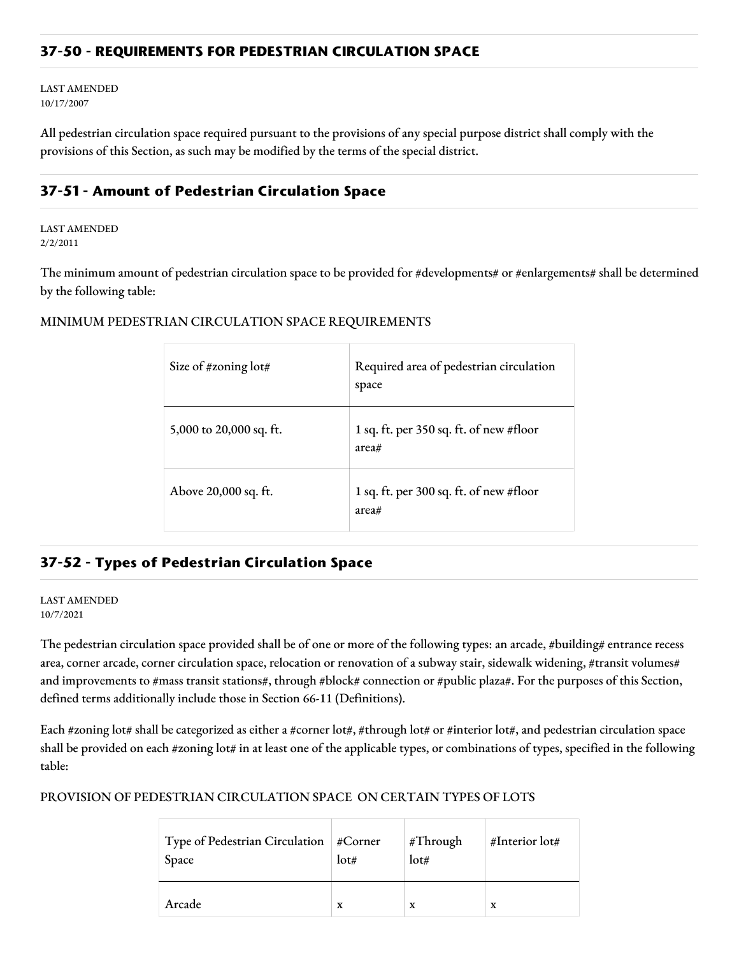# **37-50 - REQUIREMENTS FOR PEDESTRIAN CIRCULATION SPACE**

LAST AMENDED 10/17/2007

All pedestrian circulation space required pursuant to the provisions of any special purpose district shall comply with the provisions of this Section, as such may be modified by the terms of the special district.

# **37-51 - Amount of Pedestrian Circulation Space**

LAST AMENDED 2/2/2011

The minimum amount of pedestrian circulation space to be provided for #developments# or #enlargements# shall be determined by the following table:

MINIMUM PEDESTRIAN CIRCULATION SPACE REQUIREMENTS

| Size of #zoning lot#    | Required area of pedestrian circulation<br>space |
|-------------------------|--------------------------------------------------|
| 5,000 to 20,000 sq. ft. | 1 sq. ft. per 350 sq. ft. of new #floor<br>area# |
| Above 20,000 sq. ft.    | 1 sq. ft. per 300 sq. ft. of new #floor<br>area# |

# **37-52 - Types of Pedestrian Circulation Space**

#### LAST AMENDED 10/7/2021

The pedestrian circulation space provided shall be of one or more of the following types: an arcade, #building# entrance recess area, corner arcade, corner circulation space, relocation or renovation of a subway stair, sidewalk widening, #transit volumes# and improvements to #mass transit stations#, through #block# connection or #public plaza#. For the purposes of this Section, defined terms additionally include those in Section 66-11 (Definitions).

Each #zoning lot# shall be categorized as either a #corner lot#, #through lot# or #interior lot#, and pedestrian circulation space shall be provided on each #zoning lot# in at least one of the applicable types, or combinations of types, specified in the following table:

## PROVISION OF PEDESTRIAN CIRCULATION SPACE ON CERTAIN TYPES OF LOTS

| Type of Pedestrian Circulation   #Corner<br>Space | lot# | #Through<br>lot# | #Interior lot# |
|---------------------------------------------------|------|------------------|----------------|
| Arcade                                            | X    | X                | X              |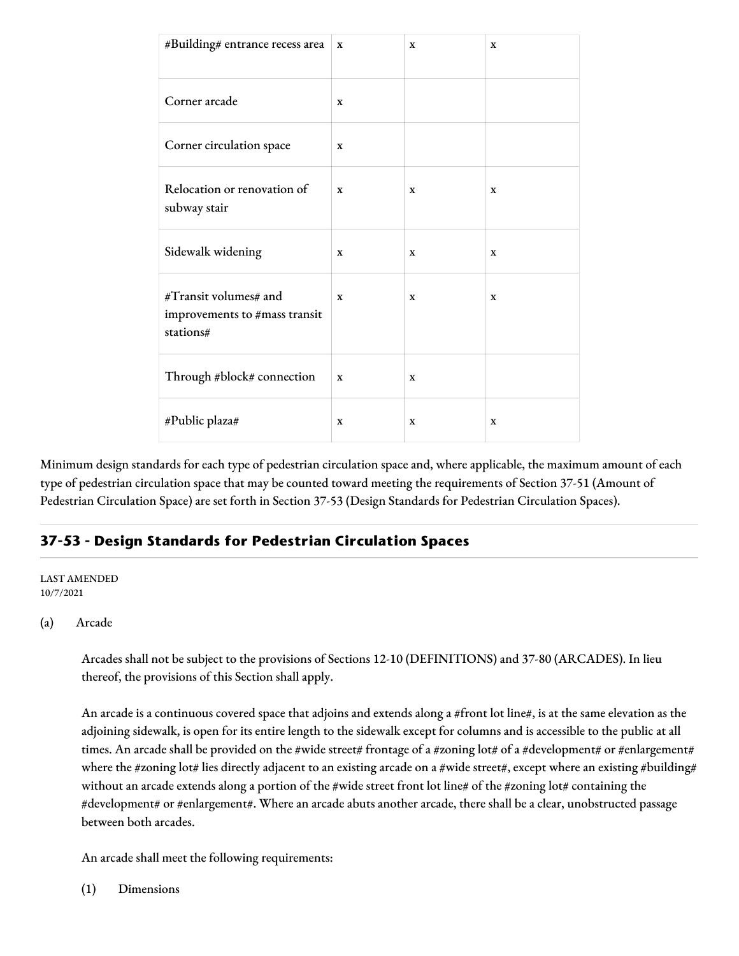| #Building# entrance recess area                                     | $\mathbf x$ | $\mathbf X$ | $\mathbf x$ |
|---------------------------------------------------------------------|-------------|-------------|-------------|
|                                                                     |             |             |             |
| Corner arcade                                                       | X           |             |             |
| Corner circulation space                                            | $\mathbf x$ |             |             |
| Relocation or renovation of<br>subway stair                         | $\mathbf x$ | X           | $\mathbf x$ |
| Sidewalk widening                                                   | $\mathbf X$ | $\mathbf X$ | X           |
| #Transit volumes# and<br>improvements to #mass transit<br>stations# | $\mathbf x$ | X           | $\mathbf x$ |
| Through #block# connection                                          | $\mathbf x$ | X           |             |
| #Public plaza#                                                      | X           | X           | X           |

Minimum design standards for each type of pedestrian circulation space and, where applicable, the maximum amount of each type of pedestrian circulation space that may be counted toward meeting the requirements of Section 37-51 (Amount of Pedestrian Circulation Space) are set forth in Section 37-53 (Design Standards for Pedestrian Circulation Spaces).

# **37-53 - Design Standards for Pedestrian Circulation Spaces**

#### LAST AMENDED 10/7/2021

## (a) Arcade

Arcades shall not be subject to the provisions of Sections 12-10 (DEFINITIONS) and 37-80 (ARCADES). In lieu thereof, the provisions of this Section shall apply.

An arcade is a continuous covered space that adjoins and extends along a #front lot line#, is at the same elevation as the adjoining sidewalk, is open for its entire length to the sidewalk except for columns and is accessible to the public at all times. An arcade shall be provided on the #wide street# frontage of a #zoning lot# of a #development# or #enlargement# where the #zoning lot# lies directly adjacent to an existing arcade on a #wide street#, except where an existing #building# without an arcade extends along a portion of the #wide street front lot line# of the #zoning lot# containing the #development# or #enlargement#. Where an arcade abuts another arcade, there shall be a clear, unobstructed passage between both arcades.

An arcade shall meet the following requirements:

(1) Dimensions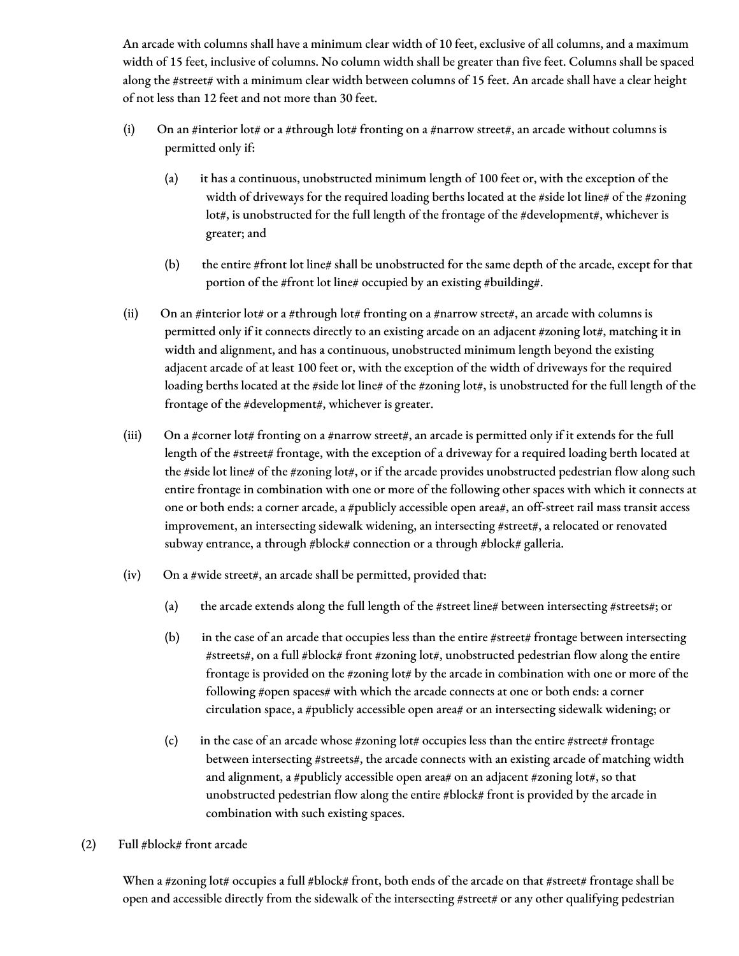An arcade with columns shall have a minimum clear width of 10 feet, exclusive of all columns, and a maximum width of 15 feet, inclusive of columns. No column width shall be greater than five feet. Columns shall be spaced along the #street# with a minimum clear width between columns of 15 feet. An arcade shall have a clear height of not less than 12 feet and not more than 30 feet.

- (i) On an #interior lot# or a #through lot# fronting on a #narrow street#, an arcade without columns is permitted only if:
	- (a) it has a continuous, unobstructed minimum length of 100 feet or, with the exception of the width of driveways for the required loading berths located at the #side lot line# of the #zoning lot#, is unobstructed for the full length of the frontage of the #development#, whichever is greater; and
	- (b) the entire #front lot line# shall be unobstructed for the same depth of the arcade, except for that portion of the #front lot line# occupied by an existing #building#.
- (ii) On an #interior lot# or a #through lot# fronting on a #narrow street#, an arcade with columns is permitted only if it connects directly to an existing arcade on an adjacent #zoning lot#, matching it in width and alignment, and has a continuous, unobstructed minimum length beyond the existing adjacent arcade of at least 100 feet or, with the exception of the width of driveways for the required loading berths located at the #side lot line# of the #zoning lot#, is unobstructed for the full length of the frontage of the #development#, whichever is greater.
- (iii) On a #corner lot# fronting on a #narrow street#, an arcade is permitted only if it extends for the full length of the #street# frontage, with the exception of a driveway for a required loading berth located at the #side lot line# of the #zoning lot#, or if the arcade provides unobstructed pedestrian flow along such entire frontage in combination with one or more of the following other spaces with which it connects at one or both ends: a corner arcade, a #publicly accessible open area#, an off-street rail mass transit access improvement, an intersecting sidewalk widening, an intersecting #street#, a relocated or renovated subway entrance, a through #block# connection or a through #block# galleria.
- $(iv)$  On a #wide street#, an arcade shall be permitted, provided that:
	- (a) the arcade extends along the full length of the #street line# between intersecting #streets#; or
	- (b) in the case of an arcade that occupies less than the entire #street# frontage between intersecting #streets#, on a full #block# front #zoning lot#, unobstructed pedestrian flow along the entire frontage is provided on the #zoning lot# by the arcade in combination with one or more of the following #open spaces# with which the arcade connects at one or both ends: a corner circulation space, a #publicly accessible open area# or an intersecting sidewalk widening; or
	- (c) in the case of an arcade whose #zoning lot# occupies less than the entire #street# frontage between intersecting #streets#, the arcade connects with an existing arcade of matching width and alignment, a #publicly accessible open area# on an adjacent #zoning lot#, so that unobstructed pedestrian flow along the entire #block# front is provided by the arcade in combination with such existing spaces.
- (2) Full #block# front arcade

When a #zoning lot# occupies a full #block# front, both ends of the arcade on that #street# frontage shall be open and accessible directly from the sidewalk of the intersecting #street# or any other qualifying pedestrian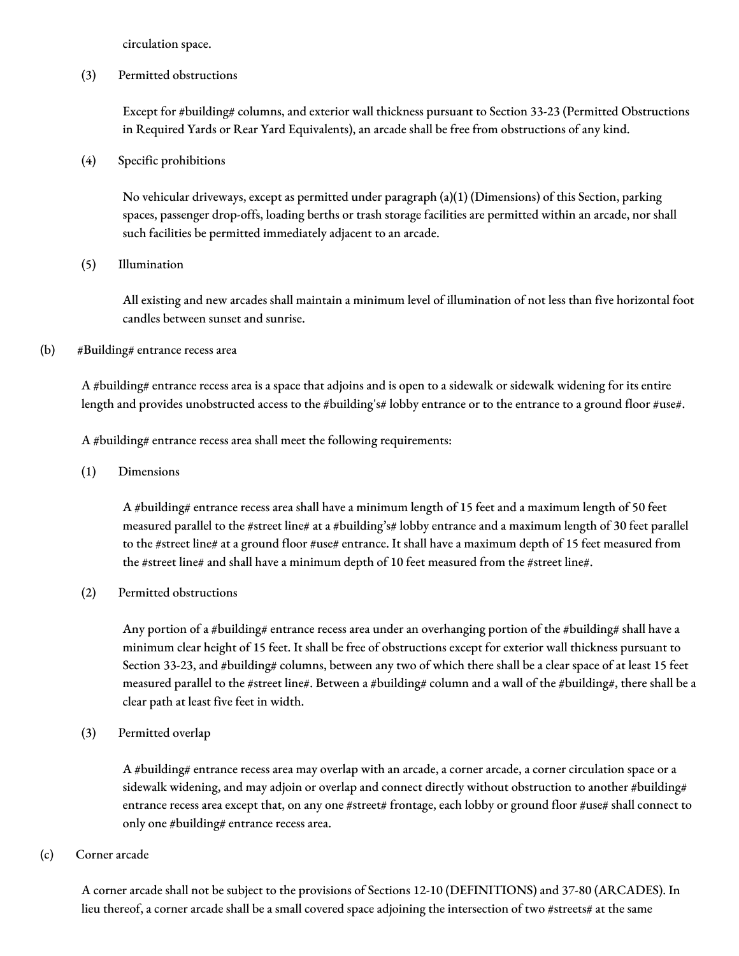circulation space.

(3) Permitted obstructions

Except for #building# columns, and exterior wall thickness pursuant to Section 33-23 (Permitted Obstructions in Required Yards or Rear Yard Equivalents), an arcade shall be free from obstructions of any kind.

(4) Specific prohibitions

No vehicular driveways, except as permitted under paragraph (a)(1) (Dimensions) of this Section, parking spaces, passenger drop-offs, loading berths or trash storage facilities are permitted within an arcade, nor shall such facilities be permitted immediately adjacent to an arcade.

(5) Illumination

All existing and new arcades shall maintain a minimum level of illumination of not less than five horizontal foot candles between sunset and sunrise.

(b) #Building# entrance recess area

A #building# entrance recess area is a space that adjoins and is open to a sidewalk or sidewalk widening for its entire length and provides unobstructed access to the #building's# lobby entrance or to the entrance to a ground floor #use#.

A #building# entrance recess area shall meet the following requirements:

(1) Dimensions

A #building# entrance recess area shall have a minimum length of 15 feet and a maximum length of 50 feet measured parallel to the #street line# at a #building's# lobby entrance and a maximum length of 30 feet parallel to the #street line# at a ground floor #use# entrance. It shall have a maximum depth of 15 feet measured from the #street line# and shall have a minimum depth of 10 feet measured from the #street line#.

(2) Permitted obstructions

Any portion of a #building# entrance recess area under an overhanging portion of the #building# shall have a minimum clear height of 15 feet. It shall be free of obstructions except for exterior wall thickness pursuant to Section 33-23, and #building# columns, between any two of which there shall be a clear space of at least 15 feet measured parallel to the #street line#. Between a #building# column and a wall of the #building#, there shall be a clear path at least five feet in width.

(3) Permitted overlap

A #building# entrance recess area may overlap with an arcade, a corner arcade, a corner circulation space or a sidewalk widening, and may adjoin or overlap and connect directly without obstruction to another #building# entrance recess area except that, on any one #street# frontage, each lobby or ground floor #use# shall connect to only one #building# entrance recess area.

#### (c) Corner arcade

A corner arcade shall not be subject to the provisions of Sections 12-10 (DEFINITIONS) and 37-80 (ARCADES). In lieu thereof, a corner arcade shall be a small covered space adjoining the intersection of two #streets# at the same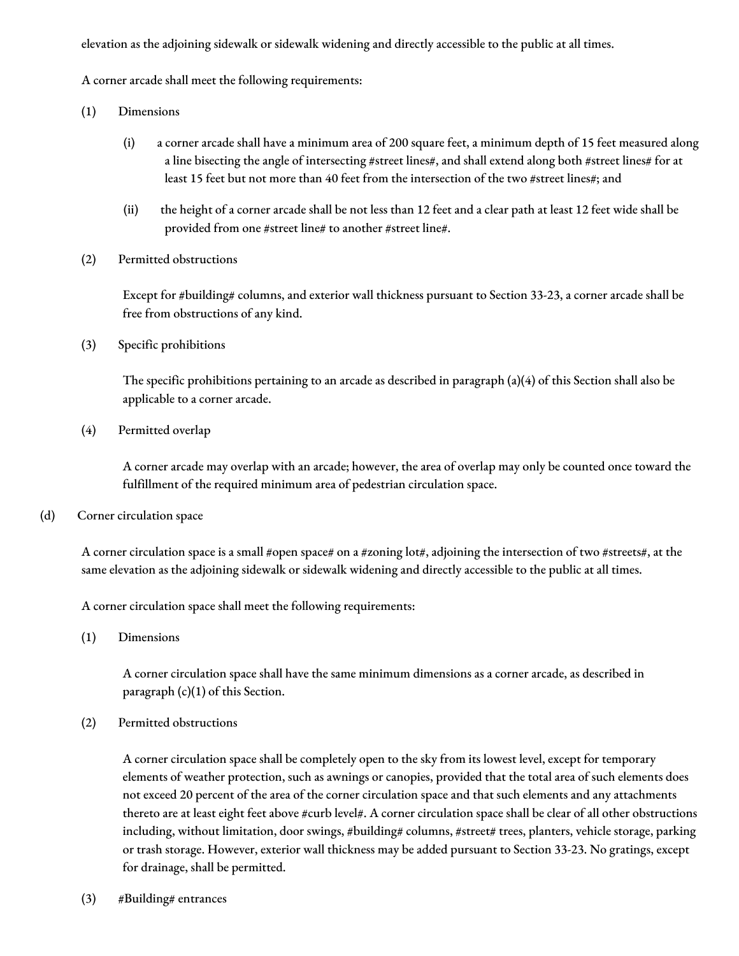elevation as the adjoining sidewalk or sidewalk widening and directly accessible to the public at all times.

A corner arcade shall meet the following requirements:

- (1) Dimensions
	- (i) a corner arcade shall have a minimum area of 200 square feet, a minimum depth of 15 feet measured along a line bisecting the angle of intersecting #street lines#, and shall extend along both #street lines# for at least 15 feet but not more than 40 feet from the intersection of the two #street lines#; and
	- (ii) the height of a corner arcade shall be not less than 12 feet and a clear path at least 12 feet wide shall be provided from one #street line# to another #street line#.
- (2) Permitted obstructions

Except for #building# columns, and exterior wall thickness pursuant to Section 33-23, a corner arcade shall be free from obstructions of any kind.

(3) Specific prohibitions

The specific prohibitions pertaining to an arcade as described in paragraph (a)(4) of this Section shall also be applicable to a corner arcade.

(4) Permitted overlap

A corner arcade may overlap with an arcade; however, the area of overlap may only be counted once toward the fulfillment of the required minimum area of pedestrian circulation space.

(d) Corner circulation space

A corner circulation space is a small #open space# on a #zoning lot#, adjoining the intersection of two #streets#, at the same elevation as the adjoining sidewalk or sidewalk widening and directly accessible to the public at all times.

A corner circulation space shall meet the following requirements:

(1) Dimensions

A corner circulation space shall have the same minimum dimensions as a corner arcade, as described in paragraph (c)(1) of this Section.

(2) Permitted obstructions

A corner circulation space shall be completely open to the sky from its lowest level, except for temporary elements of weather protection, such as awnings or canopies, provided that the total area of such elements does not exceed 20 percent of the area of the corner circulation space and that such elements and any attachments thereto are at least eight feet above #curb level#. A corner circulation space shall be clear of all other obstructions including, without limitation, door swings, #building# columns, #street# trees, planters, vehicle storage, parking or trash storage. However, exterior wall thickness may be added pursuant to Section 33-23. No gratings, except for drainage, shall be permitted.

(3) #Building# entrances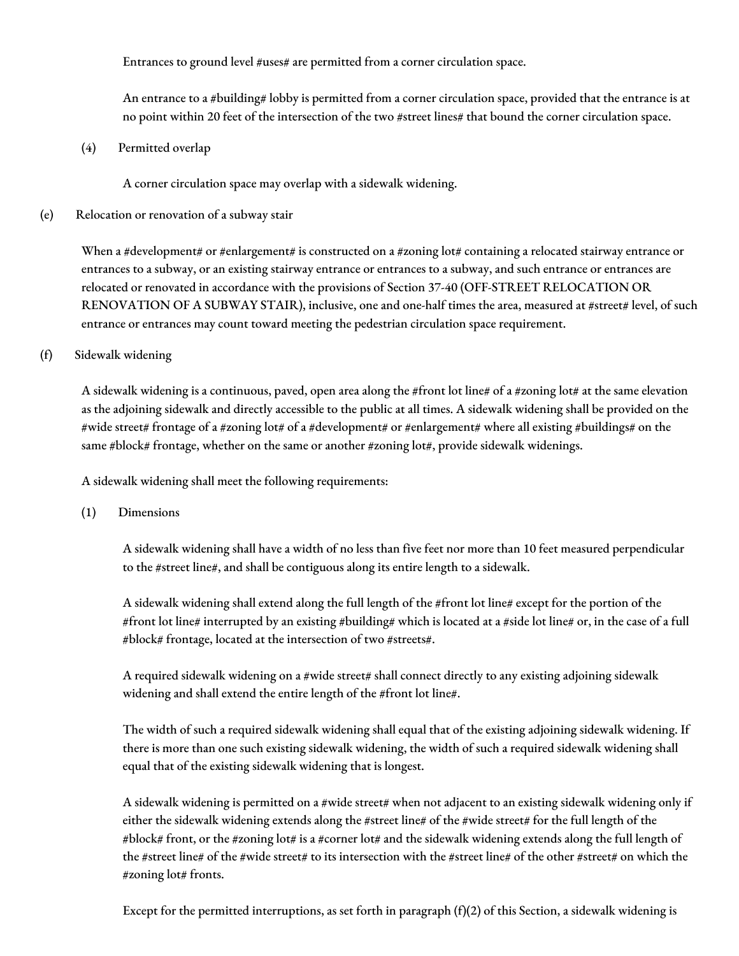Entrances to ground level #uses# are permitted from a corner circulation space.

An entrance to a #building# lobby is permitted from a corner circulation space, provided that the entrance is at no point within 20 feet of the intersection of the two #street lines# that bound the corner circulation space.

(4) Permitted overlap

A corner circulation space may overlap with a sidewalk widening.

## (e) Relocation or renovation of a subway stair

When a #development# or #enlargement# is constructed on a #zoning lot# containing a relocated stairway entrance or entrances to a subway, or an existing stairway entrance or entrances to a subway, and such entrance or entrances are relocated or renovated in accordance with the provisions of Section 37-40 (OFF-STREET RELOCATION OR RENOVATION OF A SUBWAY STAIR), inclusive, one and one-half times the area, measured at #street# level, of such entrance or entrances may count toward meeting the pedestrian circulation space requirement.

## (f) Sidewalk widening

A sidewalk widening is a continuous, paved, open area along the #front lot line# of a #zoning lot# at the same elevation as the adjoining sidewalk and directly accessible to the public at all times. A sidewalk widening shall be provided on the #wide street# frontage of a #zoning lot# of a #development# or #enlargement# where all existing #buildings# on the same #block# frontage, whether on the same or another #zoning lot#, provide sidewalk widenings.

A sidewalk widening shall meet the following requirements:

(1) Dimensions

A sidewalk widening shall have a width of no less than five feet nor more than 10 feet measured perpendicular to the #street line#, and shall be contiguous along its entire length to a sidewalk.

A sidewalk widening shall extend along the full length of the #front lot line# except for the portion of the #front lot line# interrupted by an existing #building# which is located at a #side lot line# or, in the case of a full #block# frontage, located at the intersection of two #streets#.

A required sidewalk widening on a #wide street# shall connect directly to any existing adjoining sidewalk widening and shall extend the entire length of the #front lot line#.

The width of such a required sidewalk widening shall equal that of the existing adjoining sidewalk widening. If there is more than one such existing sidewalk widening, the width of such a required sidewalk widening shall equal that of the existing sidewalk widening that is longest.

A sidewalk widening is permitted on a #wide street# when not adjacent to an existing sidewalk widening only if either the sidewalk widening extends along the #street line# of the #wide street# for the full length of the #block# front, or the #zoning lot# is a #corner lot# and the sidewalk widening extends along the full length of the #street line# of the #wide street# to its intersection with the #street line# of the other #street# on which the #zoning lot# fronts.

Except for the permitted interruptions, as set forth in paragraph  $(f)(2)$  of this Section, a sidewalk widening is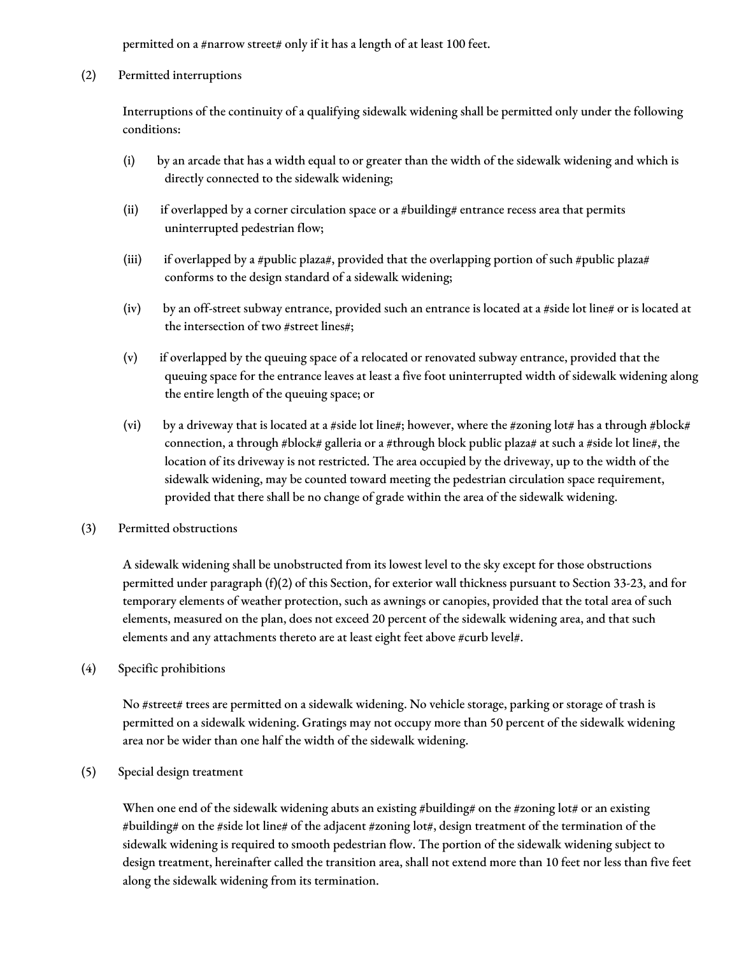permitted on a #narrow street# only if it has a length of at least 100 feet.

(2) Permitted interruptions

Interruptions of the continuity of a qualifying sidewalk widening shall be permitted only under the following conditions:

- (i) by an arcade that has a width equal to or greater than the width of the sidewalk widening and which is directly connected to the sidewalk widening;
- (ii) if overlapped by a corner circulation space or a #building# entrance recess area that permits uninterrupted pedestrian flow;
- (iii) if overlapped by a #public plaza#, provided that the overlapping portion of such #public plaza# conforms to the design standard of a sidewalk widening;
- (iv) by an off-street subway entrance, provided such an entrance is located at a #side lot line# or is located at the intersection of two #street lines#;
- (v) if overlapped by the queuing space of a relocated or renovated subway entrance, provided that the queuing space for the entrance leaves at least a five foot uninterrupted width of sidewalk widening along the entire length of the queuing space; or
- (vi) by a driveway that is located at a #side lot line#; however, where the #zoning lot# has a through #block# connection, a through #block# galleria or a #through block public plaza# at such a #side lot line#, the location of its driveway is not restricted. The area occupied by the driveway, up to the width of the sidewalk widening, may be counted toward meeting the pedestrian circulation space requirement, provided that there shall be no change of grade within the area of the sidewalk widening.
- (3) Permitted obstructions

A sidewalk widening shall be unobstructed from its lowest level to the sky except for those obstructions permitted under paragraph (f)(2) of this Section, for exterior wall thickness pursuant to Section 33-23, and for temporary elements of weather protection, such as awnings or canopies, provided that the total area of such elements, measured on the plan, does not exceed 20 percent of the sidewalk widening area, and that such elements and any attachments thereto are at least eight feet above #curb level#.

(4) Specific prohibitions

No #street# trees are permitted on a sidewalk widening. No vehicle storage, parking or storage of trash is permitted on a sidewalk widening. Gratings may not occupy more than 50 percent of the sidewalk widening area nor be wider than one half the width of the sidewalk widening.

(5) Special design treatment

When one end of the sidewalk widening abuts an existing #building# on the #zoning lot# or an existing #building# on the #side lot line# of the adjacent #zoning lot#, design treatment of the termination of the sidewalk widening is required to smooth pedestrian flow. The portion of the sidewalk widening subject to design treatment, hereinafter called the transition area, shall not extend more than 10 feet nor less than five feet along the sidewalk widening from its termination.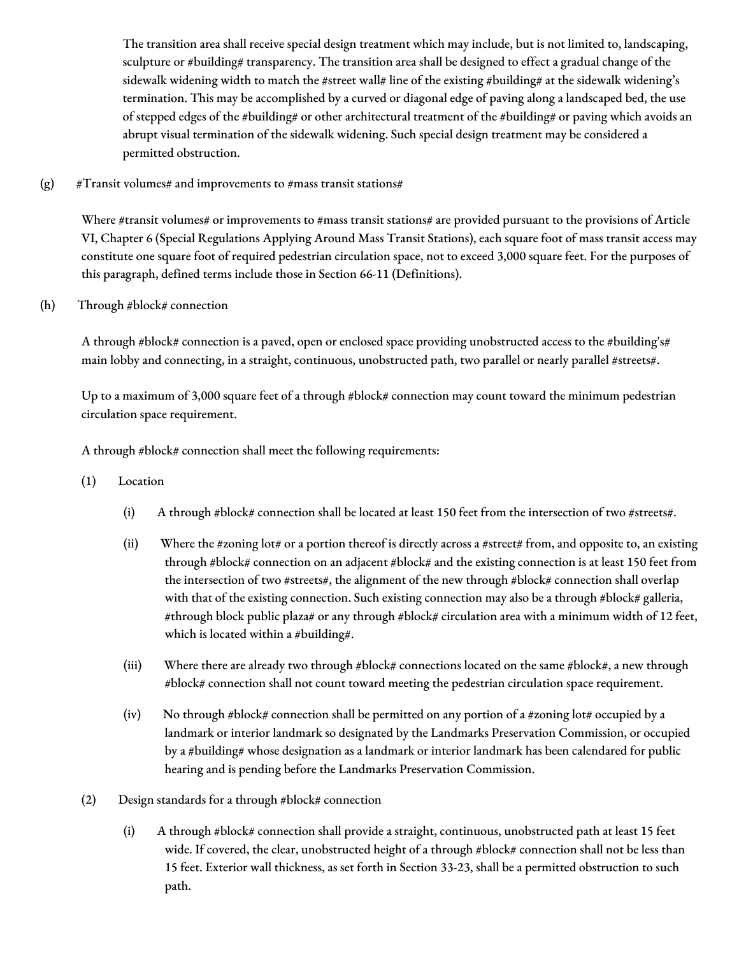The transition area shall receive special design treatment which may include, but is not limited to, landscaping, sculpture or #building# transparency. The transition area shall be designed to effect a gradual change of the sidewalk widening width to match the #street wall# line of the existing #building# at the sidewalk widening's termination. This may be accomplished by a curved or diagonal edge of paving along a landscaped bed, the use of stepped edges of the #building# or other architectural treatment of the #building# or paving which avoids an abrupt visual termination of the sidewalk widening. Such special design treatment may be considered a permitted obstruction.

(g) #Transit volumes# and improvements to #mass transit stations#

Where #transit volumes# or improvements to #mass transit stations# are provided pursuant to the provisions of Article VI, Chapter 6 (Special Regulations Applying Around Mass Transit Stations), each square foot of mass transit access may constitute one square foot of required pedestrian circulation space, not to exceed 3,000 square feet. For the purposes of this paragraph, defined terms include those in Section 66-11 (Definitions).

(h) Through #block# connection

A through #block# connection is a paved, open or enclosed space providing unobstructed access to the #building's# main lobby and connecting, in a straight, continuous, unobstructed path, two parallel or nearly parallel #streets#.

Up to a maximum of 3,000 square feet of a through #block# connection may count toward the minimum pedestrian circulation space requirement.

A through #block# connection shall meet the following requirements:

- (1) Location
	- (i) A through #block# connection shall be located at least 150 feet from the intersection of two #streets#.
	- (ii) Where the #zoning lot# or a portion thereof is directly across a #street# from, and opposite to, an existing through #block# connection on an adjacent #block# and the existing connection is at least 150 feet from the intersection of two #streets#, the alignment of the new through #block# connection shall overlap with that of the existing connection. Such existing connection may also be a through #block# galleria, #through block public plaza# or any through #block# circulation area with a minimum width of 12 feet, which is located within a #building#.
	- (iii) Where there are already two through #block# connections located on the same #block#, a new through #block# connection shall not count toward meeting the pedestrian circulation space requirement.
	- (iv) No through #block# connection shall be permitted on any portion of a #zoning lot# occupied by a landmark or interior landmark so designated by the Landmarks Preservation Commission, or occupied by a #building# whose designation as a landmark or interior landmark has been calendared for public hearing and is pending before the Landmarks Preservation Commission.
- (2) Design standards for a through  $\# \text{block} \#$  connection
	- (i) A through #block# connection shall provide a straight, continuous, unobstructed path at least 15 feet wide. If covered, the clear, unobstructed height of a through #block# connection shall not be less than 15 feet. Exterior wall thickness, as set forth in Section 33-23, shall be a permitted obstruction to such path.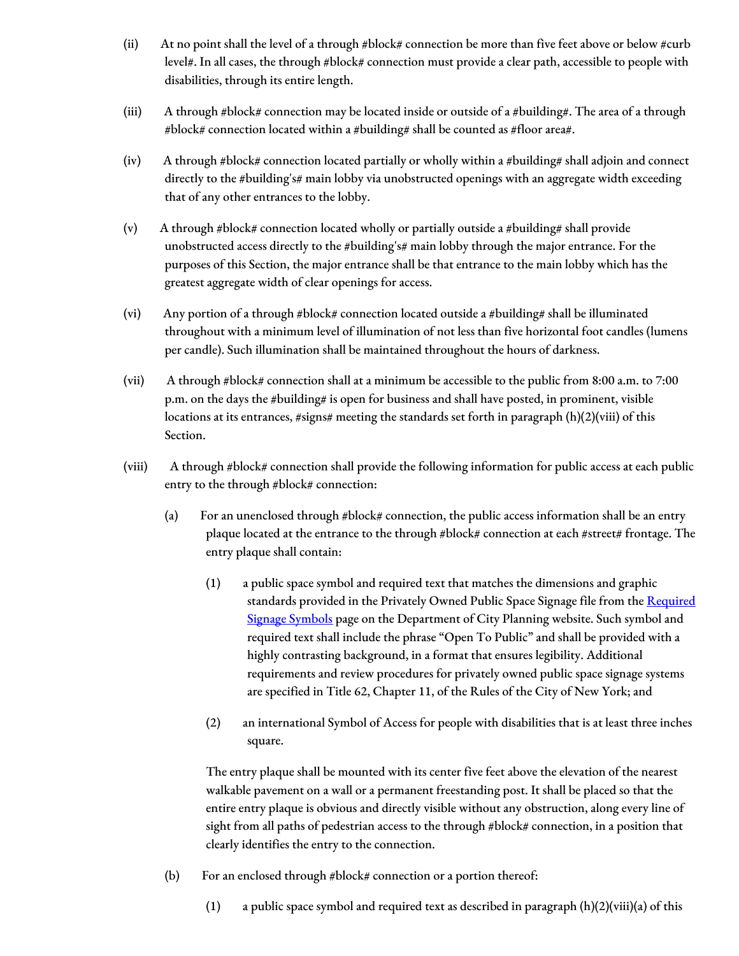- (ii) At no point shall the level of a through #block# connection be more than five feet above or below #curb level#. In all cases, the through #block# connection must provide a clear path, accessible to people with disabilities, through its entire length.
- (iii) A through #block# connection may be located inside or outside of a #building#. The area of a through #block# connection located within a #building# shall be counted as #floor area#.
- (iv) A through #block# connection located partially or wholly within a #building# shall adjoin and connect directly to the #building's# main lobby via unobstructed openings with an aggregate width exceeding that of any other entrances to the lobby.
- (v) A through #block# connection located wholly or partially outside a #building# shall provide unobstructed access directly to the #building's# main lobby through the major entrance. For the purposes of this Section, the major entrance shall be that entrance to the main lobby which has the greatest aggregate width of clear openings for access.
- (vi) Any portion of a through #block# connection located outside a #building# shall be illuminated throughout with a minimum level of illumination of not less than five horizontal foot candles (lumens per candle). Such illumination shall be maintained throughout the hours of darkness.
- (vii) A through #block# connection shall at a minimum be accessible to the public from 8:00 a.m. to 7:00 p.m. on the days the #building# is open for business and shall have posted, in prominent, visible locations at its entrances, #signs# meeting the standards set forth in paragraph (h)(2)(viii) of this Section.
- (viii) A through #block# connection shall provide the following information for public access at each public entry to the through #block# connection:
	- (a) For an unenclosed through #block# connection, the public access information shall be an entry plaque located at the entrance to the through #block# connection at each #street# frontage. The entry plaque shall contain:
		- (1) a public space symbol and required text that matches the dimensions and graphic standards provided in the Privately Owned Public Space Signage file from the Required Signage Symbols page on the [Department](http://www1.nyc.gov/site/planning/zoning/graphic-files.page) of City Planning website. Such symbol and required text shall include the phrase "Open To Public" and shall be provided with a highly contrasting background, in a format that ensures legibility. Additional requirements and review procedures for privately owned public space signage systems are specified in Title 62, Chapter 11, of the Rules of the City of New York; and
		- (2) an international Symbol of Access for people with disabilities that is at least three inches square.

The entry plaque shall be mounted with its center five feet above the elevation of the nearest walkable pavement on a wall or a permanent freestanding post. It shall be placed so that the entire entry plaque is obvious and directly visible without any obstruction, along every line of sight from all paths of pedestrian access to the through #block# connection, in a position that clearly identifies the entry to the connection.

- (b) For an enclosed through #block# connection or a portion thereof:
	- (1) a public space symbol and required text as described in paragraph  $(h)(2)(viii)(a)$  of this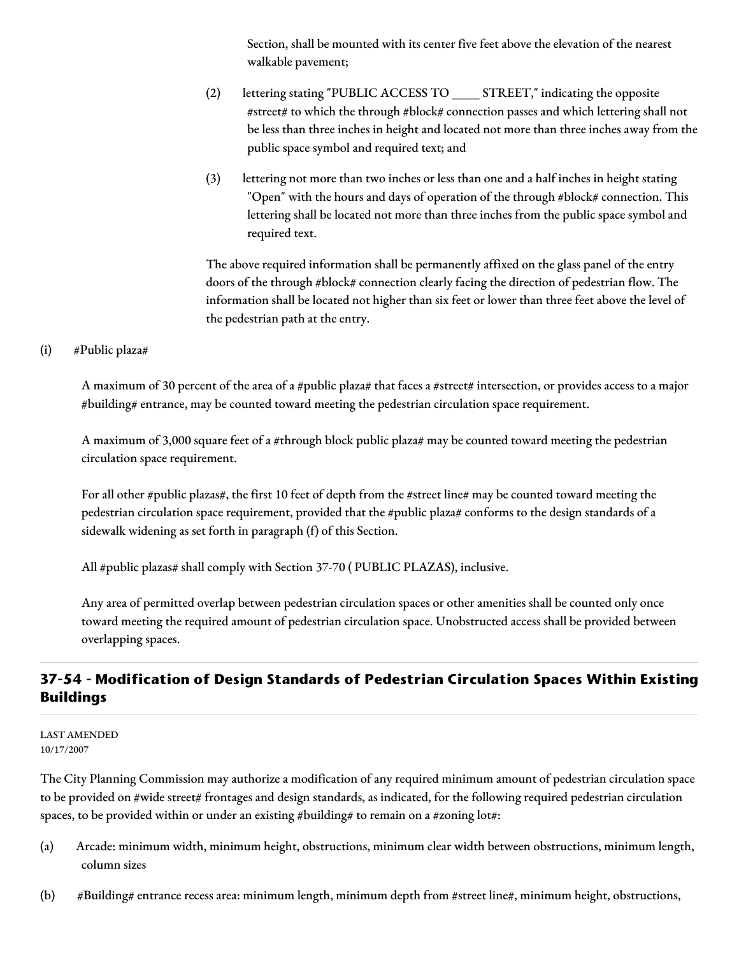Section, shall be mounted with its center five feet above the elevation of the nearest walkable pavement;

- (2) lettering stating "PUBLIC ACCESS TO \_\_\_\_ STREET," indicating the opposite #street# to which the through #block# connection passes and which lettering shall not be less than three inches in height and located not more than three inches away from the public space symbol and required text; and
- (3) lettering not more than two inches or less than one and a half inches in height stating "Open" with the hours and days of operation of the through #block# connection. This lettering shall be located not more than three inches from the public space symbol and required text.

The above required information shall be permanently affixed on the glass panel of the entry doors of the through #block# connection clearly facing the direction of pedestrian flow. The information shall be located not higher than six feet or lower than three feet above the level of the pedestrian path at the entry.

## (i) #Public plaza#

A maximum of 30 percent of the area of a #public plaza# that faces a #street# intersection, or provides access to a major #building# entrance, may be counted toward meeting the pedestrian circulation space requirement.

A maximum of 3,000 square feet of a #through block public plaza# may be counted toward meeting the pedestrian circulation space requirement.

For all other #public plazas#, the first 10 feet of depth from the #street line# may be counted toward meeting the pedestrian circulation space requirement, provided that the #public plaza# conforms to the design standards of a sidewalk widening as set forth in paragraph (f) of this Section.

All #public plazas# shall comply with Section 37-70 ( PUBLIC PLAZAS), inclusive.

Any area of permitted overlap between pedestrian circulation spaces or other amenities shall be counted only once toward meeting the required amount of pedestrian circulation space. Unobstructed access shall be provided between overlapping spaces.

# **37-54 - Modification of Design Standards of Pedestrian Circulation Spaces Within Existing Buildings**

LAST AMENDED 10/17/2007

The City Planning Commission may authorize a modification of any required minimum amount of pedestrian circulation space to be provided on #wide street# frontages and design standards, as indicated, for the following required pedestrian circulation spaces, to be provided within or under an existing #building# to remain on a #zoning lot#:

- (a) Arcade: minimum width, minimum height, obstructions, minimum clear width between obstructions, minimum length, column sizes
- (b) #Building# entrance recess area: minimum length, minimum depth from #street line#, minimum height, obstructions,